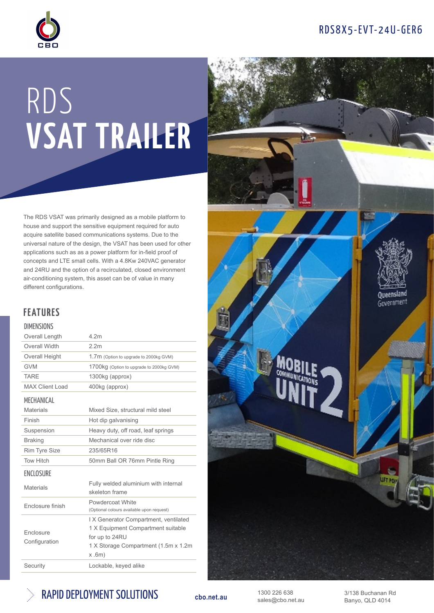## RDS8X5-EVT-24U-GER6



# RDS VSAT TRAILER

The RDS VSAT was primarily designed as a mobile platform to house and support the sensitive equipment required for auto acquire satellite based communications systems. Due to the universal nature of the design, the VSAT has been used for other applications such as as a power platform for in-field proof of concepts and LTE small cells. With a 4.8Kw 240VAC generator and 24RU and the option of a recirculated, closed environment air-conditioning system, this asset can be of value in many different configurations.

### FEATURES

#### DIMENSIONS

| Overall Length                    | 4 2m                                                                                                                                          |
|-----------------------------------|-----------------------------------------------------------------------------------------------------------------------------------------------|
| Overall Width                     | 2.2 <sub>m</sub>                                                                                                                              |
| Overall Height                    | 1.7m (Option to upgrade to 2000kg GVM)                                                                                                        |
| <b>GVM</b>                        | 1700kg (Option to upgrade to 2000kg GVM)                                                                                                      |
| <b>TARE</b>                       | 1300kg (approx)                                                                                                                               |
| <b>MAX Client Load</b>            | 400kg (approx)                                                                                                                                |
| MECHANICAL                        |                                                                                                                                               |
| <b>Materials</b>                  | Mixed Size, structural mild steel                                                                                                             |
| Finish                            | Hot dip galvanising                                                                                                                           |
| Suspension                        | Heavy duty, off road, leaf springs                                                                                                            |
| <b>Braking</b>                    | Mechanical over ride disc                                                                                                                     |
| Rim Tyre Size                     | 235/65R16                                                                                                                                     |
| <b>Tow Hitch</b>                  | 50mm Ball OR 76mm Pintle Ring                                                                                                                 |
| <b>ENCLOSURE</b>                  |                                                                                                                                               |
| <b>Materials</b>                  | Fully welded aluminium with internal<br>skeleton frame                                                                                        |
| Fnclosure finish                  | Powdercoat White<br>(Optional colours available upon request)                                                                                 |
| <b>Fnclosure</b><br>Configuration | IX Generator Compartment, ventilated<br>1 X Equipment Compartment suitable<br>for up to 24RU<br>1 X Storage Compartment (1.5m x 1.2m<br>x.6m) |
| Security                          | Lockable, keyed alike                                                                                                                         |





1300 226 638 sales@cbo.net.au